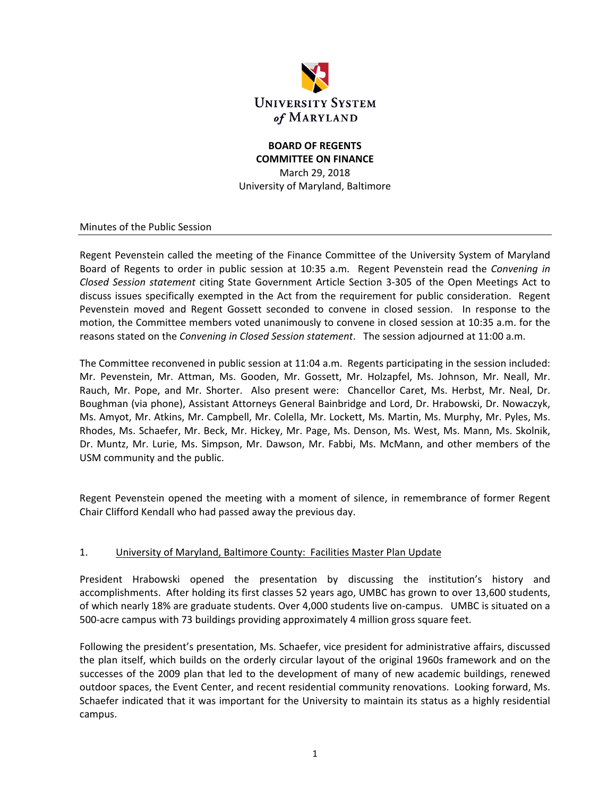

#### **BOARD OF REGENTS COMMITTEE ON FINANCE**

March 29, 2018 University of Maryland, Baltimore

Minutes of the Public Session

Regent Pevenstein called the meeting of the Finance Committee of the University System of Maryland Board of Regents to order in public session at 10:35 a.m. Regent Pevenstein read the *Convening in Closed Session statement* citing State Government Article Section 3‐305 of the Open Meetings Act to discuss issues specifically exempted in the Act from the requirement for public consideration. Regent Pevenstein moved and Regent Gossett seconded to convene in closed session. In response to the motion, the Committee members voted unanimously to convene in closed session at 10:35 a.m. for the reasons stated on the *Convening in Closed Session statement*. The session adjourned at 11:00 a.m.

The Committee reconvened in public session at 11:04 a.m. Regents participating in the session included: Mr. Pevenstein, Mr. Attman, Ms. Gooden, Mr. Gossett, Mr. Holzapfel, Ms. Johnson, Mr. Neall, Mr. Rauch, Mr. Pope, and Mr. Shorter. Also present were: Chancellor Caret, Ms. Herbst, Mr. Neal, Dr. Boughman (via phone), Assistant Attorneys General Bainbridge and Lord, Dr. Hrabowski, Dr. Nowaczyk, Ms. Amyot, Mr. Atkins, Mr. Campbell, Mr. Colella, Mr. Lockett, Ms. Martin, Ms. Murphy, Mr. Pyles, Ms. Rhodes, Ms. Schaefer, Mr. Beck, Mr. Hickey, Mr. Page, Ms. Denson, Ms. West, Ms. Mann, Ms. Skolnik, Dr. Muntz, Mr. Lurie, Ms. Simpson, Mr. Dawson, Mr. Fabbi, Ms. McMann, and other members of the USM community and the public.

Regent Pevenstein opened the meeting with a moment of silence, in remembrance of former Regent Chair Clifford Kendall who had passed away the previous day.

# 1. University of Maryland, Baltimore County: Facilities Master Plan Update

President Hrabowski opened the presentation by discussing the institution's history and accomplishments. After holding its first classes 52 years ago, UMBC has grown to over 13,600 students, of which nearly 18% are graduate students. Over 4,000 students live on‐campus. UMBC is situated on a 500‐acre campus with 73 buildings providing approximately 4 million gross square feet.

Following the president's presentation, Ms. Schaefer, vice president for administrative affairs, discussed the plan itself, which builds on the orderly circular layout of the original 1960s framework and on the successes of the 2009 plan that led to the development of many of new academic buildings, renewed outdoor spaces, the Event Center, and recent residential community renovations. Looking forward, Ms. Schaefer indicated that it was important for the University to maintain its status as a highly residential campus.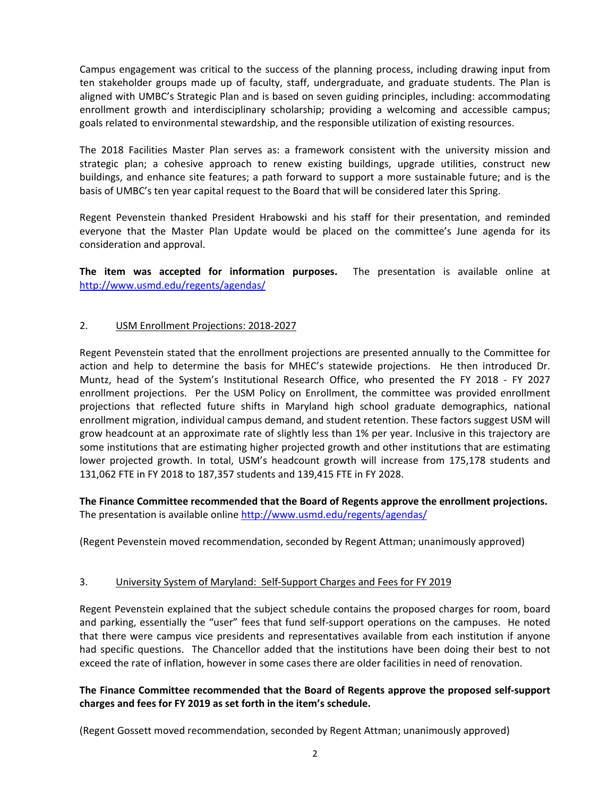Campus engagement was critical to the success of the planning process, including drawing input from ten stakeholder groups made up of faculty, staff, undergraduate, and graduate students. The Plan is aligned with UMBC's Strategic Plan and is based on seven guiding principles, including: accommodating enrollment growth and interdisciplinary scholarship; providing a welcoming and accessible campus; goals related to environmental stewardship, and the responsible utilization of existing resources.

The 2018 Facilities Master Plan serves as: a framework consistent with the university mission and strategic plan; a cohesive approach to renew existing buildings, upgrade utilities, construct new buildings, and enhance site features; a path forward to support a more sustainable future; and is the basis of UMBC's ten year capital request to the Board that will be considered later this Spring.

Regent Pevenstein thanked President Hrabowski and his staff for their presentation, and reminded everyone that the Master Plan Update would be placed on the committee's June agenda for its consideration and approval.

**The item was accepted for information purposes.**  The presentation is available online at http://www.usmd.edu/regents/agendas/

## 2. USM Enrollment Projections: 2018‐2027

Regent Pevenstein stated that the enrollment projections are presented annually to the Committee for action and help to determine the basis for MHEC's statewide projections. He then introduced Dr. Muntz, head of the System's Institutional Research Office, who presented the FY 2018 ‐ FY 2027 enrollment projections. Per the USM Policy on Enrollment, the committee was provided enrollment projections that reflected future shifts in Maryland high school graduate demographics, national enrollment migration, individual campus demand, and student retention. These factors suggest USM will grow headcount at an approximate rate of slightly less than 1% per year. Inclusive in this trajectory are some institutions that are estimating higher projected growth and other institutions that are estimating lower projected growth. In total, USM's headcount growth will increase from 175,178 students and 131,062 FTE in FY 2018 to 187,357 students and 139,415 FTE in FY 2028.

**The Finance Committee recommended that the Board of Regents approve the enrollment projections.**  The presentation is available online http://www.usmd.edu/regents/agendas/

(Regent Pevenstein moved recommendation, seconded by Regent Attman; unanimously approved)

### 3. University System of Maryland: Self-Support Charges and Fees for FY 2019

Regent Pevenstein explained that the subject schedule contains the proposed charges for room, board and parking, essentially the "user" fees that fund self‐support operations on the campuses. He noted that there were campus vice presidents and representatives available from each institution if anyone had specific questions. The Chancellor added that the institutions have been doing their best to not exceed the rate of inflation, however in some cases there are older facilities in need of renovation.

## **The Finance Committee recommended that the Board of Regents approve the proposed self‐support charges and fees for FY 2019 as set forth in the item's schedule.**

(Regent Gossett moved recommendation, seconded by Regent Attman; unanimously approved)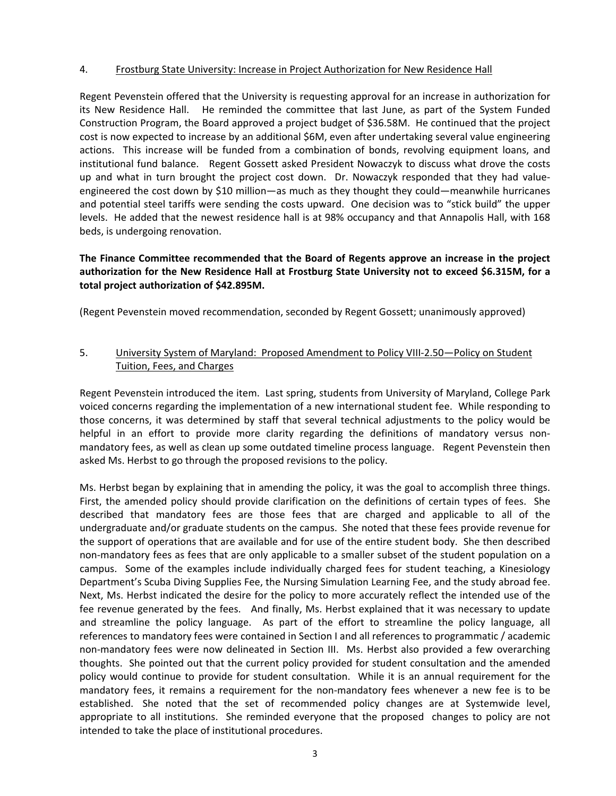#### 4. Frostburg State University: Increase in Project Authorization for New Residence Hall

Regent Pevenstein offered that the University is requesting approval for an increase in authorization for its New Residence Hall. He reminded the committee that last June, as part of the System Funded Construction Program, the Board approved a project budget of \$36.58M. He continued that the project cost is now expected to increase by an additional \$6M, even after undertaking several value engineering actions. This increase will be funded from a combination of bonds, revolving equipment loans, and institutional fund balance. Regent Gossett asked President Nowaczyk to discuss what drove the costs up and what in turn brought the project cost down. Dr. Nowaczyk responded that they had valueengineered the cost down by \$10 million—as much as they thought they could—meanwhile hurricanes and potential steel tariffs were sending the costs upward. One decision was to "stick build" the upper levels. He added that the newest residence hall is at 98% occupancy and that Annapolis Hall, with 168 beds, is undergoing renovation.

# **The Finance Committee recommended that the Board of Regents approve an increase in the project authorization for the New Residence Hall at Frostburg State University not to exceed \$6.315M, for a total project authorization of \$42.895M.**

(Regent Pevenstein moved recommendation, seconded by Regent Gossett; unanimously approved)

## 5. University System of Maryland: Proposed Amendment to Policy VIII-2.50 — Policy on Student Tuition, Fees, and Charges

Regent Pevenstein introduced the item. Last spring, students from University of Maryland, College Park voiced concerns regarding the implementation of a new international student fee. While responding to those concerns, it was determined by staff that several technical adjustments to the policy would be helpful in an effort to provide more clarity regarding the definitions of mandatory versus nonmandatory fees, as well as clean up some outdated timeline process language. Regent Pevenstein then asked Ms. Herbst to go through the proposed revisions to the policy.

Ms. Herbst began by explaining that in amending the policy, it was the goal to accomplish three things. First, the amended policy should provide clarification on the definitions of certain types of fees. She described that mandatory fees are those fees that are charged and applicable to all of the undergraduate and/or graduate students on the campus. She noted that these fees provide revenue for the support of operations that are available and for use of the entire student body. She then described non‐mandatory fees as fees that are only applicable to a smaller subset of the student population on a campus. Some of the examples include individually charged fees for student teaching, a Kinesiology Department's Scuba Diving Supplies Fee, the Nursing Simulation Learning Fee, and the study abroad fee. Next, Ms. Herbst indicated the desire for the policy to more accurately reflect the intended use of the fee revenue generated by the fees. And finally, Ms. Herbst explained that it was necessary to update and streamline the policy language. As part of the effort to streamline the policy language, all references to mandatory fees were contained in Section I and all references to programmatic / academic non-mandatory fees were now delineated in Section III. Ms. Herbst also provided a few overarching thoughts. She pointed out that the current policy provided for student consultation and the amended policy would continue to provide for student consultation. While it is an annual requirement for the mandatory fees, it remains a requirement for the non-mandatory fees whenever a new fee is to be established. She noted that the set of recommended policy changes are at Systemwide level, appropriate to all institutions. She reminded everyone that the proposed changes to policy are not intended to take the place of institutional procedures.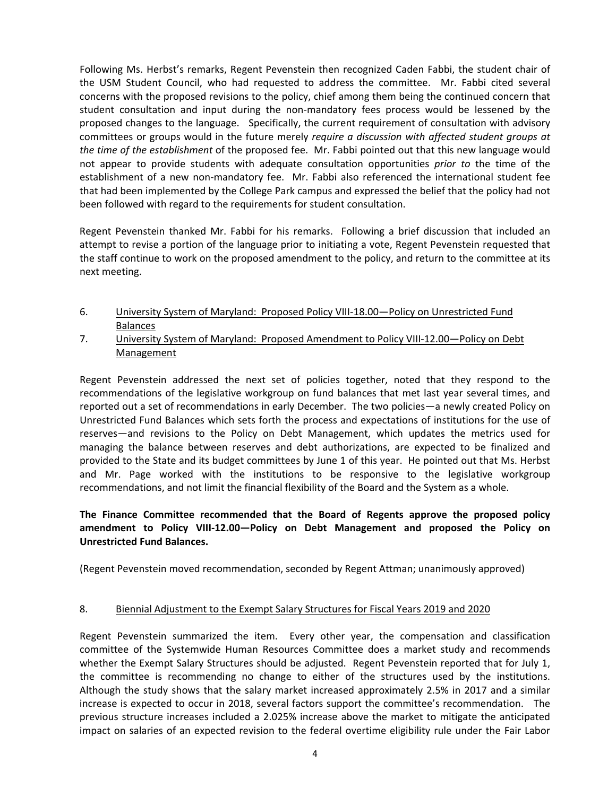Following Ms. Herbst's remarks, Regent Pevenstein then recognized Caden Fabbi, the student chair of the USM Student Council, who had requested to address the committee. Mr. Fabbi cited several concerns with the proposed revisions to the policy, chief among them being the continued concern that student consultation and input during the non‐mandatory fees process would be lessened by the proposed changes to the language. Specifically, the current requirement of consultation with advisory committees or groups would in the future merely *require a discussion with affected student groups at the time of the establishment* of the proposed fee. Mr. Fabbi pointed out that this new language would not appear to provide students with adequate consultation opportunities *prior to* the time of the establishment of a new non-mandatory fee. Mr. Fabbi also referenced the international student fee that had been implemented by the College Park campus and expressed the belief that the policy had not been followed with regard to the requirements for student consultation.

Regent Pevenstein thanked Mr. Fabbi for his remarks. Following a brief discussion that included an attempt to revise a portion of the language prior to initiating a vote, Regent Pevenstein requested that the staff continue to work on the proposed amendment to the policy, and return to the committee at its next meeting.

- 6. University System of Maryland: Proposed Policy VIII-18.00 Policy on Unrestricted Fund Balances
- 7. University System of Maryland: Proposed Amendment to Policy VIII-12.00—Policy on Debt Management

Regent Pevenstein addressed the next set of policies together, noted that they respond to the recommendations of the legislative workgroup on fund balances that met last year several times, and reported out a set of recommendations in early December. The two policies—a newly created Policy on Unrestricted Fund Balances which sets forth the process and expectations of institutions for the use of reserves—and revisions to the Policy on Debt Management, which updates the metrics used for managing the balance between reserves and debt authorizations, are expected to be finalized and provided to the State and its budget committees by June 1 of this year. He pointed out that Ms. Herbst and Mr. Page worked with the institutions to be responsive to the legislative workgroup recommendations, and not limit the financial flexibility of the Board and the System as a whole.

**The Finance Committee recommended that the Board of Regents approve the proposed policy amendment to Policy VIII‐12.00—Policy on Debt Management and proposed the Policy on Unrestricted Fund Balances.**

(Regent Pevenstein moved recommendation, seconded by Regent Attman; unanimously approved)

### 8. Biennial Adjustment to the Exempt Salary Structures for Fiscal Years 2019 and 2020

Regent Pevenstein summarized the item. Every other year, the compensation and classification committee of the Systemwide Human Resources Committee does a market study and recommends whether the Exempt Salary Structures should be adjusted. Regent Pevenstein reported that for July 1, the committee is recommending no change to either of the structures used by the institutions. Although the study shows that the salary market increased approximately 2.5% in 2017 and a similar increase is expected to occur in 2018, several factors support the committee's recommendation. The previous structure increases included a 2.025% increase above the market to mitigate the anticipated impact on salaries of an expected revision to the federal overtime eligibility rule under the Fair Labor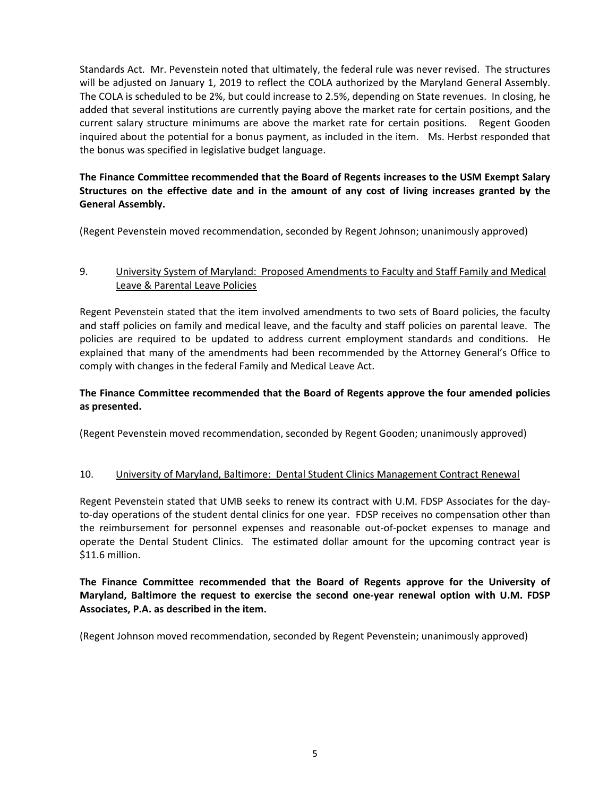Standards Act. Mr. Pevenstein noted that ultimately, the federal rule was never revised. The structures will be adjusted on January 1, 2019 to reflect the COLA authorized by the Maryland General Assembly. The COLA is scheduled to be 2%, but could increase to 2.5%, depending on State revenues. In closing, he added that several institutions are currently paying above the market rate for certain positions, and the current salary structure minimums are above the market rate for certain positions. Regent Gooden inquired about the potential for a bonus payment, as included in the item. Ms. Herbst responded that the bonus was specified in legislative budget language.

# **The Finance Committee recommended that the Board of Regents increases to the USM Exempt Salary Structures on the effective date and in the amount of any cost of living increases granted by the General Assembly.**

(Regent Pevenstein moved recommendation, seconded by Regent Johnson; unanimously approved)

# 9. University System of Maryland: Proposed Amendments to Faculty and Staff Family and Medical Leave & Parental Leave Policies

Regent Pevenstein stated that the item involved amendments to two sets of Board policies, the faculty and staff policies on family and medical leave, and the faculty and staff policies on parental leave. The policies are required to be updated to address current employment standards and conditions. He explained that many of the amendments had been recommended by the Attorney General's Office to comply with changes in the federal Family and Medical Leave Act.

# **The Finance Committee recommended that the Board of Regents approve the four amended policies as presented.**

(Regent Pevenstein moved recommendation, seconded by Regent Gooden; unanimously approved)

### 10. University of Maryland, Baltimore: Dental Student Clinics Management Contract Renewal

Regent Pevenstein stated that UMB seeks to renew its contract with U.M. FDSP Associates for the day‐ to-day operations of the student dental clinics for one year. FDSP receives no compensation other than the reimbursement for personnel expenses and reasonable out‐of‐pocket expenses to manage and operate the Dental Student Clinics. The estimated dollar amount for the upcoming contract year is \$11.6 million.

# **The Finance Committee recommended that the Board of Regents approve for the University of Maryland, Baltimore the request to exercise the second one‐year renewal option with U.M. FDSP Associates, P.A. as described in the item.**

(Regent Johnson moved recommendation, seconded by Regent Pevenstein; unanimously approved)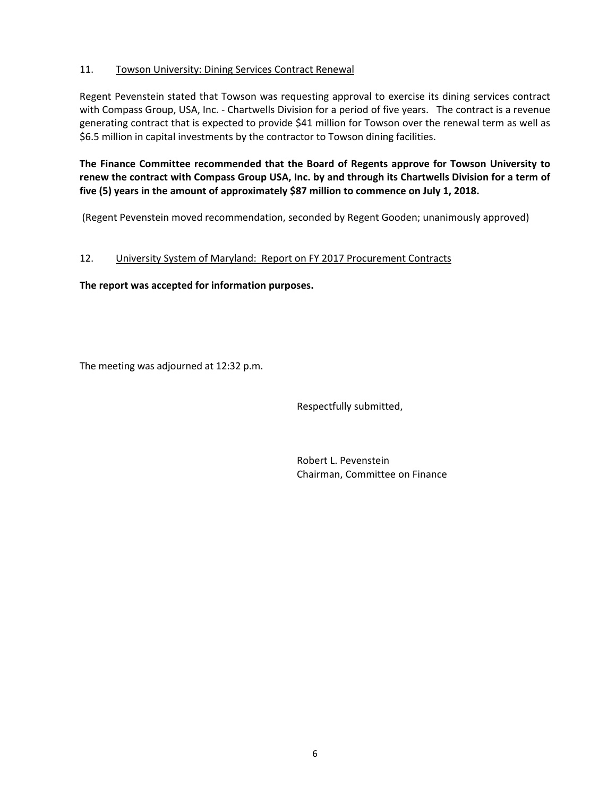## 11. Towson University: Dining Services Contract Renewal

Regent Pevenstein stated that Towson was requesting approval to exercise its dining services contract with Compass Group, USA, Inc. - Chartwells Division for a period of five years. The contract is a revenue generating contract that is expected to provide \$41 million for Towson over the renewal term as well as \$6.5 million in capital investments by the contractor to Towson dining facilities.

**The Finance Committee recommended that the Board of Regents approve for Towson University to** renew the contract with Compass Group USA, Inc. by and through its Chartwells Division for a term of **five (5) years in the amount of approximately \$87 million to commence on July 1, 2018.** 

(Regent Pevenstein moved recommendation, seconded by Regent Gooden; unanimously approved)

## 12. University System of Maryland: Report on FY 2017 Procurement Contracts

**The report was accepted for information purposes.**

The meeting was adjourned at 12:32 p.m.

Respectfully submitted,

 Robert L. Pevenstein Chairman, Committee on Finance